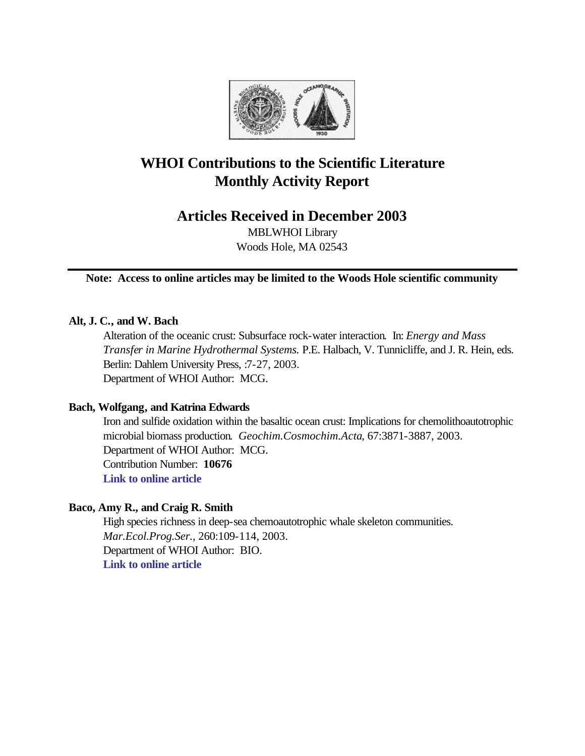

# **WHOI Contributions to the Scientific Literature Monthly Activity Report**

# **Articles Received in December 2003**

MBLWHOI Library Woods Hole, MA 02543

**Note: Access to online articles may be limited to the Woods Hole scientific community**

### **Alt, J. C., and W. Bach**

Alteration of the oceanic crust: Subsurface rock-water interaction. In: *Energy and Mass Transfer in Marine Hydrothermal Systems.* P.E. Halbach, V. Tunnicliffe, and J. R. Hein, eds. Berlin: Dahlem University Press, :7-27, 2003. Department of WHOI Author: MCG.

### **Bach, Wolfgang, and Katrina Edwards**

Iron and sulfide oxidation within the basaltic ocean crust: Implications for chemolithoautotrophic microbial biomass production. *Geochim.Cosmochim.Acta*, 67:3871-3887, 2003. Department of WHOI Author: MCG. Contribution Number: **10676 [Link to online article](http://www.sciencedirect.com/science?_ob=MImg&_imagekey=B6V66-49RBF3C-7-19&_cdi=5806&_orig=browse&_coverDate=10%2F15%2F2003&_sk=999329979&view=c&wchp=dGLbVlz-zSkWb&_acct=C000011858&_version=1&_userid=142773&md5=7e4a0d0228bfb7785811020350984700&ie=f.pdf)**

### **Baco, Amy R., and Craig R. Smith**

High species richness in deep-sea chemoautotrophic whale skeleton communities. *Mar.Ecol.Prog.Ser.*, 260:109-114, 2003. Department of WHOI Author: BIO. **[Link to online article](http://www.int-res.com/articles/meps2003/260/m260p109.pdf)**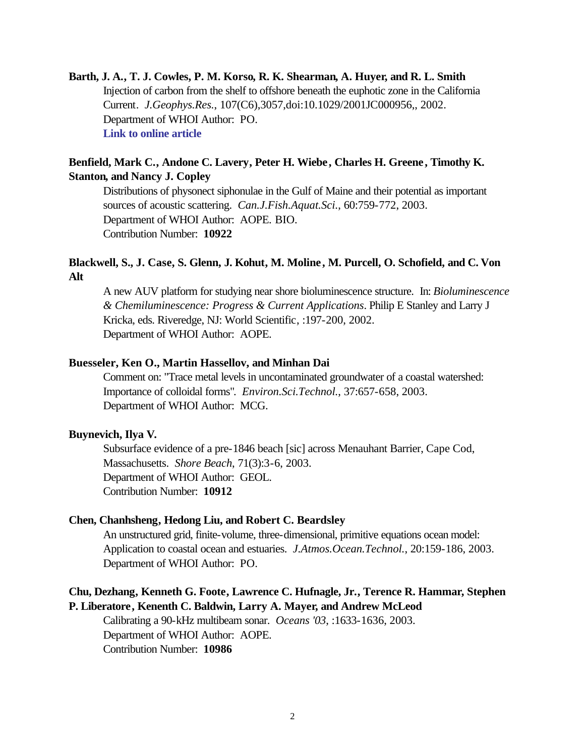**Barth, J. A., T. J. Cowles, P. M. Korso, R. K. Shearman, A. Huyer, and R. L. Smith** Injection of carbon from the shelf to offshore beneath the euphotic zone in the California Current. *J.Geophys.Res.*, 107(C6),3057,doi:10.1029/2001JC000956,, 2002. Department of WHOI Author: PO. **[Link to online article](http://www.agu.org/journals/jc/jc0206/2001JC000956/2001JC000956.pdf)**

# **Benfield, Mark C., Andone C. Lavery, Peter H. Wiebe, Charles H. Greene, Timothy K. Stanton, and Nancy J. Copley**

Distributions of physonect siphonulae in the Gulf of Maine and their potential as important sources of acoustic scattering. *Can.J.Fish.Aquat.Sci.*, 60:759-772, 2003. Department of WHOI Author: AOPE. BIO. Contribution Number: **10922**

### **Blackwell, S., J. Case, S. Glenn, J. Kohut, M. Moline , M. Purcell, O. Schofield, and C. Von Alt**

A new AUV platform for studying near shore bioluminescence structure. In: *Bioluminescence & Chemiluminescence: Progress & Current Applications*. Philip E Stanley and Larry J Kricka, eds. Riveredge, NJ: World Scientific, :197-200, 2002. Department of WHOI Author: AOPE.

### **Buesseler, Ken O., Martin Hassellov, and Minhan Dai**

Comment on: "Trace metal levels in uncontaminated groundwater of a coastal watershed: Importance of colloidal forms". *Environ.Sci.Technol.*, 37:657-658, 2003. Department of WHOI Author: MCG.

### **Buynevich, Ilya V.**

Subsurface evidence of a pre-1846 beach [sic] across Menauhant Barrier, Cape Cod, Massachusetts. *Shore Beach*, 71(3):3-6, 2003. Department of WHOI Author: GEOL. Contribution Number: **10912**

### **Chen, Chanhsheng, Hedong Liu, and Robert C. Beardsley**

An unstructured grid, finite-volume, three-dimensional, primitive equations ocean model: Application to coastal ocean and estuaries. *J.Atmos.Ocean.Technol.*, 20:159-186, 2003. Department of WHOI Author: PO.

### **Chu, Dezhang, Kenneth G. Foote, Lawrence C. Hufnagle, Jr., Terence R. Hammar, Stephen P. Liberatore, Kenenth C. Baldwin, Larry A. Mayer, and Andrew McLeod**

Calibrating a 90-kHz multibeam sonar. *Oceans '03*, :1633-1636, 2003. Department of WHOI Author: AOPE. Contribution Number: **10986**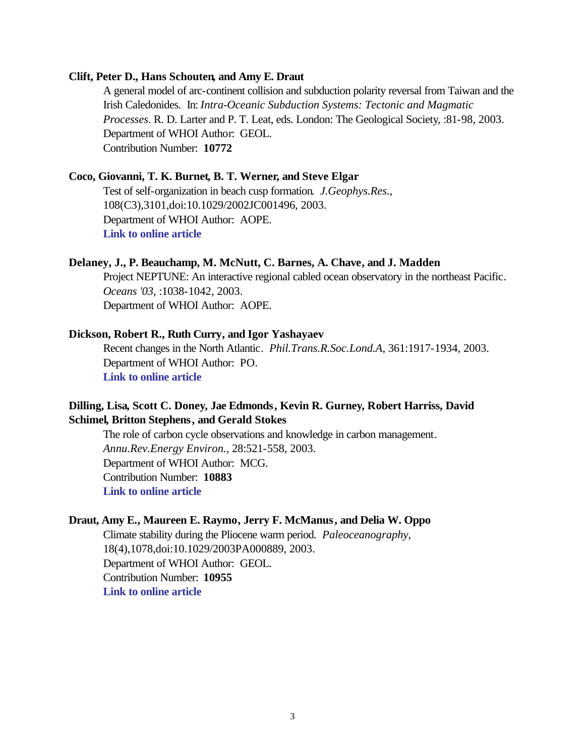### **Clift, Peter D., Hans Schouten, and Amy E. Draut**

A general model of arc-continent collision and subduction polarity reversal from Taiwan and the Irish Caledonides. In: *Intra-Oceanic Subduction Systems: Tectonic and Magmatic Processes*. R. D. Larter and P. T. Leat, eds. London: The Geological Society, :81-98, 2003. Department of WHOI Author: GEOL. Contribution Number: **10772**

#### **Coco, Giovanni, T. K. Burnet, B. T. Werner, and Steve Elgar**

Test of self-organization in beach cusp formation. *J.Geophys.Res.*, 108(C3),3101,doi:10.1029/2002JC001496, 2003. Department of WHOI Author: AOPE. **[Link to online article](http://www.agu.org/journals/jc/jc0303/2002JC001496/2002JC001496.pdf)**

### **Delaney, J., P. Beauchamp, M. McNutt, C. Barnes, A. Chave, and J. Madden**

Project NEPTUNE: An interactive regional cabled ocean observatory in the northeast Pacific. *Oceans '03*, :1038-1042, 2003. Department of WHOI Author: AOPE.

### **Dickson, Robert R., Ruth Curry, and Igor Yashayaev**

Recent changes in the North Atlantic. *Phil.Trans.R.Soc.Lond.A*, 361:1917-1934, 2003. Department of WHOI Author: PO. **[Link to online article](http://taddeo.ingentaselect.com/vl=1997493/cl=80/nw=1/fm=docpdf/rpsv/cw/rsl/1364503x/v361n1810/s6/p1917)**

# **Dilling, Lisa, Scott C. Doney, Jae Edmonds, Kevin R. Gurney, Robert Harriss, David Schimel, Britton Stephens, and Gerald Stokes**

The role of carbon cycle observations and knowledge in carbon management. *Annu.Rev.Energy Environ.*, 28:521-558, 2003. Department of WHOI Author: MCG. Contribution Number: **10883 [Link to online article](http://arjournals.annualreviews.org/doi/pdf/10.1146/annurev.energy.28.011503.163443)**

### **Draut, Amy E., Maureen E. Raymo, Jerry F. McManus, and Delia W. Oppo**

Climate stability during the Pliocene warm period. *Paleoceanography*, 18(4),1078,doi:10.1029/2003PA000889, 2003. Department of WHOI Author: GEOL. Contribution Number: **10955 [Link to online article](http://www.agu.org/journals/pa/pa0304/2003PA000889/2003PA000889.pdf)**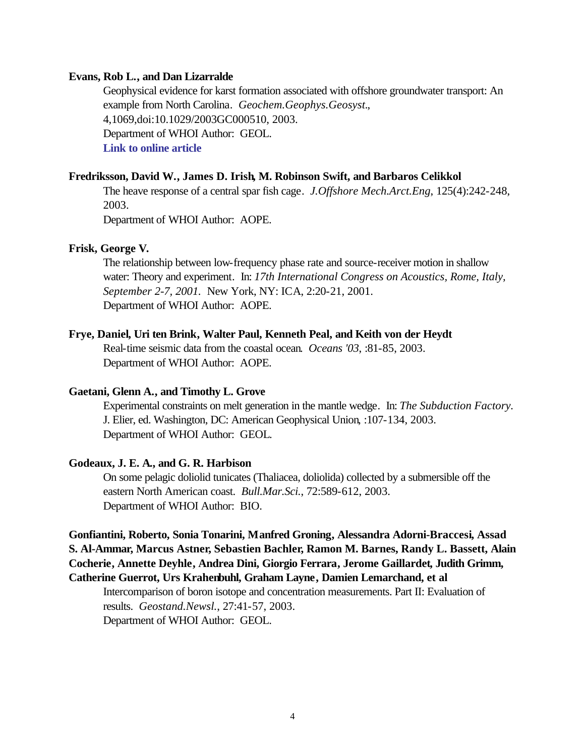#### **Evans, Rob L., and Dan Lizarralde**

Geophysical evidence for karst formation associated with offshore groundwater transport: An example from North Carolina. *Geochem.Geophys.Geosyst.*, 4,1069,doi:10.1029/2003GC000510, 2003. Department of WHOI Author: GEOL. **[Link to online article](http://www.agu.org/journals/gc/gc0308/2003GC000510/2003GC000510.pdf)**

#### **Fredriksson, David W., James D. Irish, M. Robinson Swift, and Barbaros Celikkol**

The heave response of a central spar fish cage. *J.Offshore Mech.Arct.Eng*, 125(4):242-248, 2003.

Department of WHOI Author: AOPE.

### **Frisk, George V.**

The relationship between low-frequency phase rate and source-receiver motion in shallow water: Theory and experiment. In: *17th International Congress on Acoustics, Rome, Italy, September 2-7, 2001.* New York, NY: ICA, 2:20-21, 2001. Department of WHOI Author: AOPE.

### **Frye, Daniel, Uri ten Brink, Walter Paul, Kenneth Peal, and Keith von der Heydt**

Real-time seismic data from the coastal ocean. *Oceans '03*, :81-85, 2003. Department of WHOI Author: AOPE.

#### **Gaetani, Glenn A., and Timothy L. Grove**

Experimental constraints on melt generation in the mantle wedge. In: *The Subduction Factory.*  J. Elier, ed. Washington, DC: American Geophysical Union, :107-134, 2003. Department of WHOI Author: GEOL.

### **Godeaux, J. E. A., and G. R. Harbison**

On some pelagic doliolid tunicates (Thaliacea, doliolida) collected by a submersible off the eastern North American coast. *Bull.Mar.Sci.*, 72:589-612, 2003. Department of WHOI Author: BIO.

**Gonfiantini, Roberto, Sonia Tonarini, Manfred Groning, Alessandra Adorni-Braccesi, Assad S. Al-Ammar, Marcus Astner, Sebastien Bachler, Ramon M. Barnes, Randy L. Bassett, Alain Cocherie, Annette Deyhle, Andrea Dini, Giorgio Ferrara, Jerome Gaillardet, Judith Grimm, Catherine Guerrot, Urs Krahenbuhl, Graham Layne, Damien Lemarchand, et al**

Intercomparison of boron isotope and concentration measurements. Part II: Evaluation of results. *Geostand.Newsl.*, 27:41-57, 2003. Department of WHOI Author: GEOL.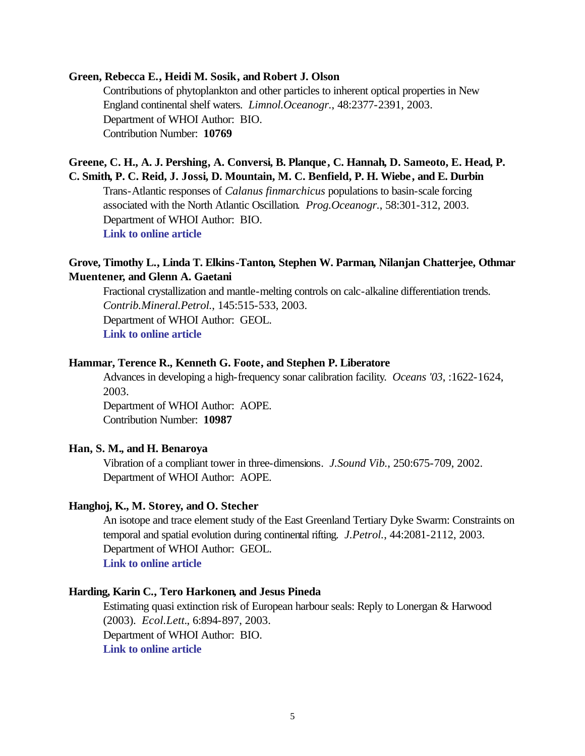### **Green, Rebecca E., Heidi M. Sosik, and Robert J. Olson**

Contributions of phytoplankton and other particles to inherent optical properties in New England continental shelf waters. *Limnol.Oceanogr.*, 48:2377-2391, 2003. Department of WHOI Author: BIO. Contribution Number: **10769**

### **Greene, C. H., A. J. Pershing, A. Conversi, B. Planque, C. Hannah, D. Sameoto, E. Head, P. C. Smith, P. C. Reid, J. Jossi, D. Mountain, M. C. Benfield, P. H. Wiebe, and E. Durbin**

Trans-Atlantic responses of *Calanus finmarchicus* populations to basin-scale forcing associated with the North Atlantic Oscillation. *Prog.Oceanogr.*, 58:301-312, 2003. Department of WHOI Author: BIO. **[Link to online article](http://www.sciencedirect.com/science?_ob=MImg&_imagekey=B6V7B-49NVDSG-5-F&_cdi=5838&_orig=browse&_coverDate=09%2F30%2F2003&_sk=999419997&view=c&wchp=dGLbVzb-zSkzk&_acct=C000011858&_version=1&_userid=142773&md5=fcb2f206c37a90aa06ce272299bc0649&ie=f.pdf)**

### **Grove, Timothy L., Linda T. Elkins-Tanton, Stephen W. Parman, Nilanjan Chatterjee, Othmar Muentener, and Glenn A. Gaetani**

Fractional crystallization and mantle-melting controls on calc-alkaline differentiation trends. *Contrib.Mineral.Petrol.*, 145:515-533, 2003. Department of WHOI Author: GEOL. **[Link to online article](http://www.springerlink.com/app/home/content.asp?wasp=7hxdagvvlh7xw1mlpt6y&referrer=contribution&format=2&page=1&pagecount=19)**

### **Hammar, Terence R., Kenneth G. Foote, and Stephen P. Liberatore**

Advances in developing a high-frequency sonar calibration facility. *Oceans '03*, :1622-1624, 2003.

Department of WHOI Author: AOPE. Contribution Number: **10987**

### **Han, S. M., and H. Benaroya**

Vibration of a compliant tower in three-dimensions. *J.Sound Vib.*, 250:675-709, 2002. Department of WHOI Author: AOPE.

### **Hanghoj, K., M. Storey, and O. Stecher**

An isotope and trace element study of the East Greenland Tertiary Dyke Swarm: Constraints on temporal and spatial evolution during continental rifting. *J.Petrol.*, 44:2081-2112, 2003. Department of WHOI Author: GEOL. **[Link to online article](http://petrology.oupjournals.org/cgi/reprint/44/11/2081.pdf)**

#### **Harding, Karin C., Tero Harkonen, and Jesus Pineda**

Estimating quasi extinction risk of European harbour seals: Reply to Lonergan & Harwood (2003). *Ecol.Lett.*, 6:894-897, 2003. Department of WHOI Author: BIO. **[Link to online article](http://www.blackwell-synergy.com/links/doi/10.1046/j.1461-0248.2003.00507.x/full/)**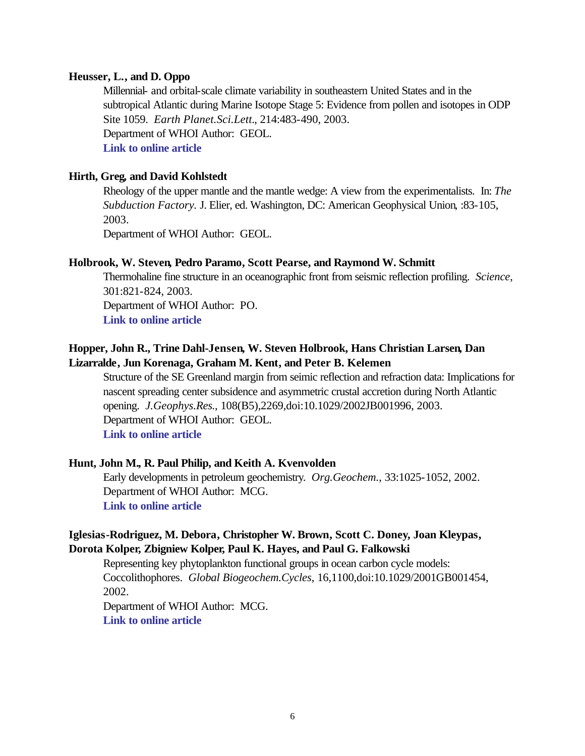### **Heusser, L., and D. Oppo**

Millennial- and orbital-scale climate variability in southeastern United States and in the subtropical Atlantic during Marine Isotope Stage 5: Evidence from pollen and isotopes in ODP Site 1059. *Earth Planet.Sci.Lett.*, 214:483-490, 2003. Department of WHOI Author: GEOL. **[Link to online article](http://www.sciencedirect.com/science?_ob=MImg&_imagekey=B6V61-49CR9VN-2-5&_cdi=5801&_orig=browse&_coverDate=09%2F30%2F2003&_sk=997859996&view=c&wchp=dGLbVzz-zSkWz&_acct=C000011858&_version=1&_userid=142773&md5=9f6f3b9570cb8c1856594d3b43a9688a&ie=f.pdf)**

### **Hirth, Greg, and David Kohlstedt**

Rheology of the upper mantle and the mantle wedge: A view from the experimentalists. In: *The Subduction Factory.* J. Elier, ed. Washington, DC: American Geophysical Union, :83-105, 2003.

Department of WHOI Author: GEOL.

### **Holbrook, W. Steven, Pedro Paramo, Scott Pearse, and Raymond W. Schmitt**

Thermohaline fine structure in an oceanographic front from seismic reflection profiling. *Science*, 301:821-824, 2003.

Department of WHOI Author: PO.

**[Link to online article](http://www.sciencemag.org/cgi/reprint/301/5634/821.pdf)**

# **Hopper, John R., Trine Dahl-Jensen, W. Steven Holbrook, Hans Christian Larsen, Dan Lizarralde, Jun Korenaga, Graham M. Kent, and Peter B. Kelemen**

Structure of the SE Greenland margin from seimic reflection and refraction data: Implications for nascent spreading center subsidence and asymmetric crustal accretion during North Atlantic opening. *J.Geophys.Res.*, 108(B5),2269,doi:10.1029/2002JB001996, 2003. Department of WHOI Author: GEOL. **[Link to online article](http://www.agu.org/journals/jb/jb0305/2002JB001996/2002JB001996.pdf)**

### **Hunt, John M., R. Paul Philip, and Keith A. Kvenvolden**

Early developments in petroleum geochemistry. *Org.Geochem.*, 33:1025-1052, 2002. Department of WHOI Author: MCG. **[Link to online article](http://www.sciencedirect.com/science?_ob=MImg&_imagekey=B6V7P-46H7T16-1-10&_cdi=5848&_orig=browse&_coverDate=09%2F30%2F2002&_sk=999669990&view=c&wchp=dGLbVtb-zSkzk&_acct=C000011858&_version=1&_userid=142773&md5=0d8d71462af114f0bc051c1e30172bd6&ie=f.pdf)**

### **Iglesias-Rodriguez, M. Debora, Christopher W. Brown, Scott C. Doney, Joan Kleypas, Dorota Kolper, Zbigniew Kolper, Paul K. Hayes, and Paul G. Falkowski**

Representing key phytoplankton functional groups in ocean carbon cycle models: Coccolithophores. *Global Biogeochem.Cycles*, 16,1100,doi:10.1029/2001GB001454, 2002.

Department of WHOI Author: MCG. **[Link to online article](http://www.agu.org/journals/gb/gb0204/2001GB001454/2001GB001454.pdf)**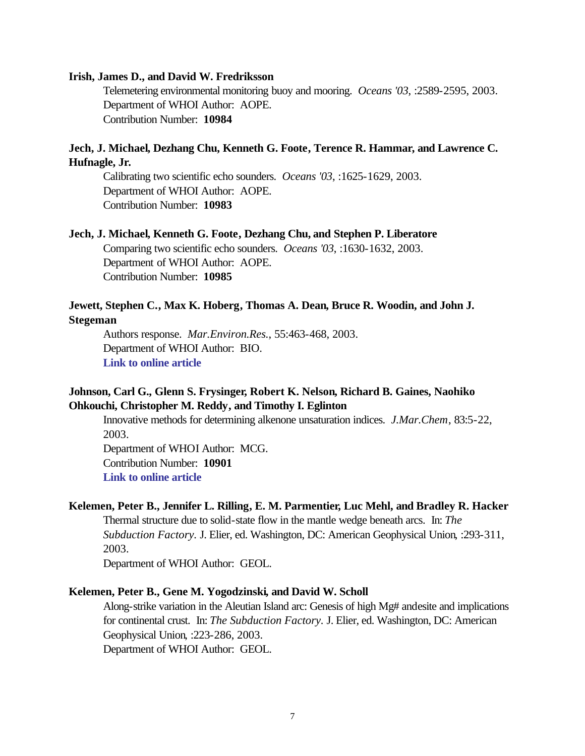#### **Irish, James D., and David W. Fredriksson**

Telemetering environmental monitoring buoy and mooring. *Oceans '03*, :2589-2595, 2003. Department of WHOI Author: AOPE. Contribution Number: **10984**

### **Jech, J. Michael, Dezhang Chu, Kenneth G. Foote, Terence R. Hammar, and Lawrence C. Hufnagle, Jr.**

Calibrating two scientific echo sounders. *Oceans '03*, :1625-1629, 2003. Department of WHOI Author: AOPE. Contribution Number: **10983**

#### **Jech, J. Michael, Kenneth G. Foote, Dezhang Chu, and Stephen P. Liberatore**

Comparing two scientific echo sounders. *Oceans '03*, :1630-1632, 2003. Department of WHOI Author: AOPE. Contribution Number: **10985**

### **Jewett, Stephen C., Max K. Hoberg, Thomas A. Dean, Bruce R. Woodin, and John J. Stegeman**

Authors response. *Mar.Environ.Res.*, 55:463-468, 2003. Department of WHOI Author: BIO. **[Link to online article](http://www.sciencedirect.com/science?_ob=MImg&_imagekey=B6V7H-483TD2C-1-1&_cdi=5843&_orig=browse&_coverDate=06%2F30%2F2003&_sk=999449994&view=c&wchp=dGLbVzb-zSkWz&_acct=C000011858&_version=1&_userid=142773&md5=2908c04af58ac0db37a5608baffadf0a&ie=f.pdf)**

# **Johnson, Carl G., Glenn S. Frysinger, Robert K. Nelson, Richard B. Gaines, Naohiko Ohkouchi, Christopher M. Reddy, and Timothy I. Eglinton**

Innovative methods for determining alkenone unsaturation indices. *J.Mar.Chem*, 83:5-22, 2003.

Department of WHOI Author: MCG. Contribution Number: **10901 [Link to online article](http://www.sciencedirect.com/science?_ob=MImg&_imagekey=B6VC2-494CBJ0-1-R&_cdi=5942&_orig=browse&_coverDate=10%2F31%2F2003&_sk=999169998&view=c&wchp=dGLbVlb-zSkzV&_acct=C000011858&_version=1&_userid=142773&md5=984770538a6db8f53f93f21493341ead&ie=f.pdf)**

#### **Kelemen, Peter B., Jennifer L. Rilling, E. M. Parmentier, Luc Mehl, and Bradley R. Hacker**

Thermal structure due to solid-state flow in the mantle wedge beneath arcs. In: *The Subduction Factory.* J. Elier, ed. Washington, DC: American Geophysical Union, :293-311, 2003.

Department of WHOI Author: GEOL.

#### **Kelemen, Peter B., Gene M. Yogodzinski, and David W. Scholl**

Along-strike variation in the Aleutian Island arc: Genesis of high Mg# andesite and implications for continental crust. In: *The Subduction Factory.* J. Elier, ed. Washington, DC: American Geophysical Union, :223-286, 2003. Department of WHOI Author: GEOL.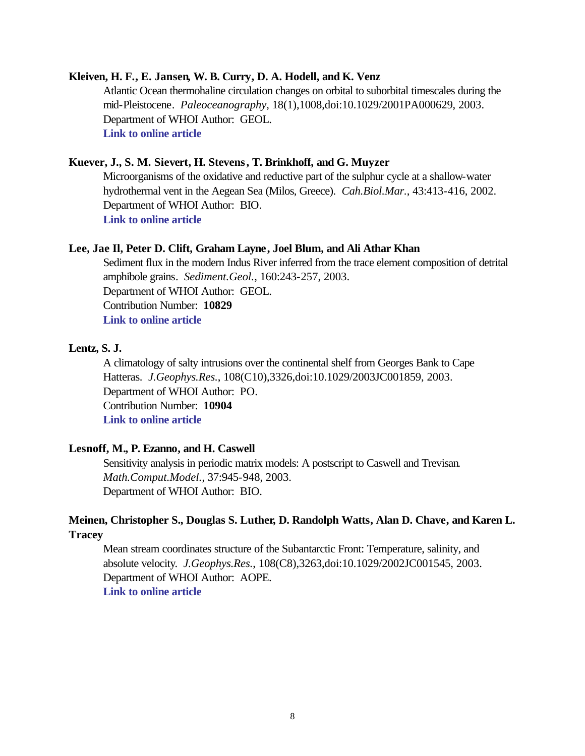### **Kleiven, H. F., E. Jansen, W. B. Curry, D. A. Hodell, and K. Venz**

Atlantic Ocean thermohaline circulation changes on orbital to suborbital timescales during the mid-Pleistocene. *Paleoceanography*, 18(1),1008,doi:10.1029/2001PA000629, 2003. Department of WHOI Author: GEOL. **[Link to online article](http://www.agu.org/journals/pa/pa0301/2001PA000629/2001PA000629.pdf)**

### **Kuever, J., S. M. Sievert, H. Stevens, T. Brinkhoff, and G. Muyzer**

Microorganisms of the oxidative and reductive part of the sulphur cycle at a shallow-water hydrothermal vent in the Aegean Sea (Milos, Greece). *Cah.Biol.Mar.*, 43:413-416, 2002. Department of WHOI Author: BIO. **[Link to online article](http://cbm-online.sb-roscoff.fr/pdf/cb43-3-413-416.pdf)**

### **Lee, Jae Il, Peter D. Clift, Graham Layne, Joel Blum, and Ali Athar Khan**

Sediment flux in the modern Indus River inferred from the trace element composition of detrital amphibole grains. *Sediment.Geol.*, 160:243-257, 2003. Department of WHOI Author: GEOL. Contribution Number: **10829 [Link to online article](http://www.sciencedirect.com/science?_ob=MImg&_imagekey=B6V6X-47HBY7X-1-R&_cdi=5826&_orig=browse&_coverDate=08%2F01%2F2003&_sk=998399998&view=c&wchp=dGLbVtz-zSkzV&_acct=C000011858&_version=1&_userid=142773&md5=2f11bc900f49025418ee16407566391f&ie=f.pdf)**

### **Lentz, S. J.**

A climatology of salty intrusions over the continental shelf from Georges Bank to Cape Hatteras. *J.Geophys.Res.*, 108(C10),3326,doi:10.1029/2003JC001859, 2003. Department of WHOI Author: PO. Contribution Number: **10904 [Link to online article](http://www.agu.org/journals/jc/jc0310/2003JC001859/2003JC001859.pdf)**

### **Lesnoff, M., P. Ezanno, and H. Caswell**

Sensitivity analysis in periodic matrix models: A postscript to Caswell and Trevisan. *Math.Comput.Model.*, 37:945-948, 2003. Department of WHOI Author: BIO.

# **Meinen, Christopher S., Douglas S. Luther, D. Randolph Watts, Alan D. Chave, and Karen L. Tracey**

Mean stream coordinates structure of the Subantarctic Front: Temperature, salinity, and absolute velocity. *J.Geophys.Res.*, 108(C8),3263,doi:10.1029/2002JC001545, 2003. Department of WHOI Author: AOPE. **[Link to online article](http://www.agu.org/journals/jc/jc0308/2002JC001545/2002JC001545.pdf)**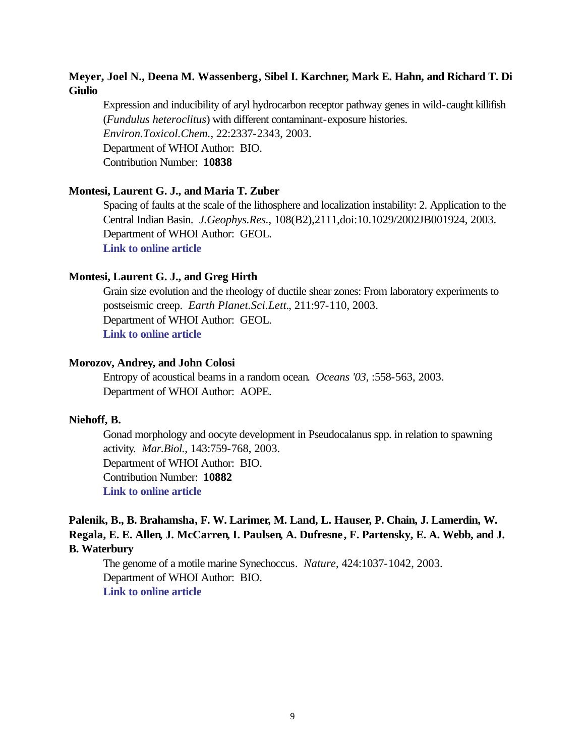# **Meyer, Joel N., Deena M. Wassenberg, Sibel I. Karchner, Mark E. Hahn, and Richard T. Di Giulio**

Expression and inducibility of aryl hydrocarbon receptor pathway genes in wild-caught killifish (*Fundulus heteroclitus*) with different contaminant-exposure histories. *Environ.Toxicol.Chem.*, 22:2337-2343, 2003. Department of WHOI Author: BIO. Contribution Number: **10838**

### **Montesi, Laurent G. J., and Maria T. Zuber**

Spacing of faults at the scale of the lithosphere and localization instability: 2. Application to the Central Indian Basin. *J.Geophys.Res.*, 108(B2),2111,doi:10.1029/2002JB001924, 2003. Department of WHOI Author: GEOL. **[Link to online article](http://www.agu.org/journals/jb/jb0302/2002JB001924/2002JB001924.pdf)**

#### **Montesi, Laurent G. J., and Greg Hirth**

Grain size evolution and the rheology of ductile shear zones: From laboratory experiments to postseismic creep. *Earth Planet.Sci.Lett.*, 211:97-110, 2003. Department of WHOI Author: GEOL. **[Link to online article](http://www.sciencedirect.com/science?_ob=MImg&_imagekey=B6V61-48JK2R6-6-29&_cdi=5801&_orig=browse&_coverDate=06%2F15%2F2003&_sk=997889998&view=c&wchp=dGLbVzz-zSkWW&_acct=C000011858&_version=1&_userid=142773&md5=178c11234240f015efbff0d7e23de05e&ie=f.pdf)**

### **Morozov, Andrey, and John Colosi**

Entropy of acoustical beams in a random ocean. *Oceans '03*, :558-563, 2003. Department of WHOI Author: AOPE.

#### **Niehoff, B.**

Gonad morphology and oocyte development in Pseudocalanus spp. in relation to spawning activity. *Mar.Biol.*, 143:759-768, 2003. Department of WHOI Author: BIO. Contribution Number: **10882 [Link to online article](http://www.springerlink.com/app/home/content.asp?wasp=ege9fdfcf31jqjbe186u&referrer=contribution&format=2&page=1&pagecount=10)**

# **Palenik, B., B. Brahamsha, F. W. Larimer, M. Land, L. Hauser, P. Chain, J. Lamerdin, W. Regala, E. E. Allen, J. McCarren, I. Paulsen, A. Dufresne, F. Partensky, E. A. Webb, and J. B. Waterbury**

The genome of a motile marine Synechoccus. *Nature*, 424:1037-1042, 2003. Department of WHOI Author: BIO. **[Link to online article](http://www.nature.com/cgi-taf/DynaPage.taf?file=/nature/journal/v424/n6952/full/nature01943_fs.html&content_filetype=pdf)**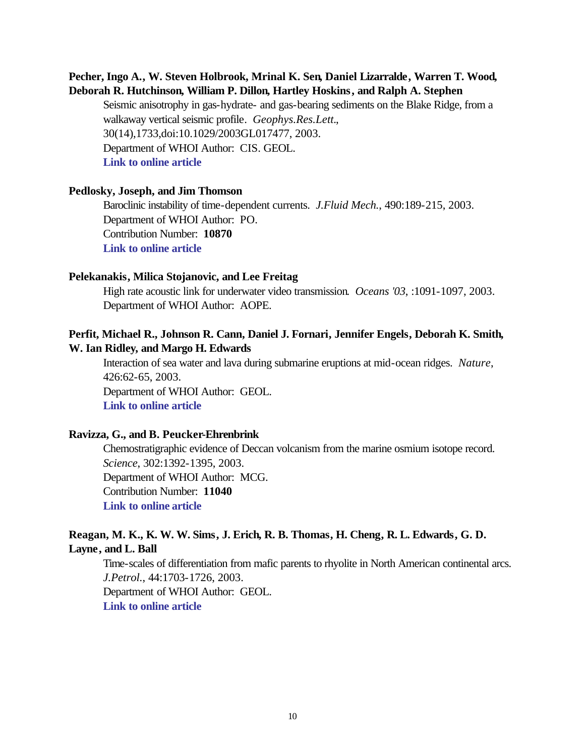# **Pecher, Ingo A., W. Steven Holbrook, Mrinal K. Sen, Daniel Lizarralde, Warren T. Wood, Deborah R. Hutchinson, William P. Dillon, Hartley Hoskins, and Ralph A. Stephen**

Seismic anisotrophy in gas-hydrate- and gas-bearing sediments on the Blake Ridge, from a walkaway vertical seismic profile. *Geophys.Res.Lett.*, 30(14),1733,doi:10.1029/2003GL017477, 2003. Department of WHOI Author: CIS. GEOL. **[Link to online article](http://www.agu.org/journals/gl/gl0314/2003GL017477/2003GL017477.pdf)**

#### **Pedlosky, Joseph, and Jim Thomson**

Baroclinic instability of time-dependent currents. *J.Fluid Mech.*, 490:189-215, 2003. Department of WHOI Author: PO. Contribution Number: **10870 [Link to online article](http://journals.cambridge.org/bin/bladerunner?REQUNIQ=1069190795&REQSESS=781052&117000REQEVENT=&REQINT1=173028&REQAUTH=0)**

#### **Pelekanakis, Milica Stojanovic, and Lee Freitag**

High rate acoustic link for underwater video transmission. *Oceans '03*, :1091-1097, 2003. Department of WHOI Author: AOPE.

### **Perfit, Michael R., Johnson R. Cann, Daniel J. Fornari, Jennifer Engels, Deborah K. Smith, W. Ian Ridley, and Margo H. Edwards**

Interaction of sea water and lava during submarine eruptions at mid-ocean ridges. *Nature*, 426:62-65, 2003. Department of WHOI Author: GEOL. **[Link to online article](http://www.nature.com/cgi-taf/DynaPage.taf?file=/nature/journal/v426/n6962/full/nature02032_fs.html&content_filetype=pdf)**

#### **Ravizza, G., and B. Peucker-Ehrenbrink**

Chemostratigraphic evidence of Deccan volcanism from the marine osmium isotope record. *Science*, 302:1392-1395, 2003. Department of WHOI Author: MCG. Contribution Number: **11040 [Link to online article](http://www.sciencemag.org/cgi/reprint/302/5649/1392.pdf)**

### **Reagan, M. K., K. W. W. Sims, J. Erich, R. B. Thomas, H. Cheng, R. L. Edwards, G. D. Layne, and L. Ball**

Time-scales of differentiation from mafic parents to rhyolite in North American continental arcs. *J.Petrol.*, 44:1703-1726, 2003. Department of WHOI Author: GEOL. **[Link to online article](http://petrology.oupjournals.org/cgi/reprint/44/9/1703.pdf)**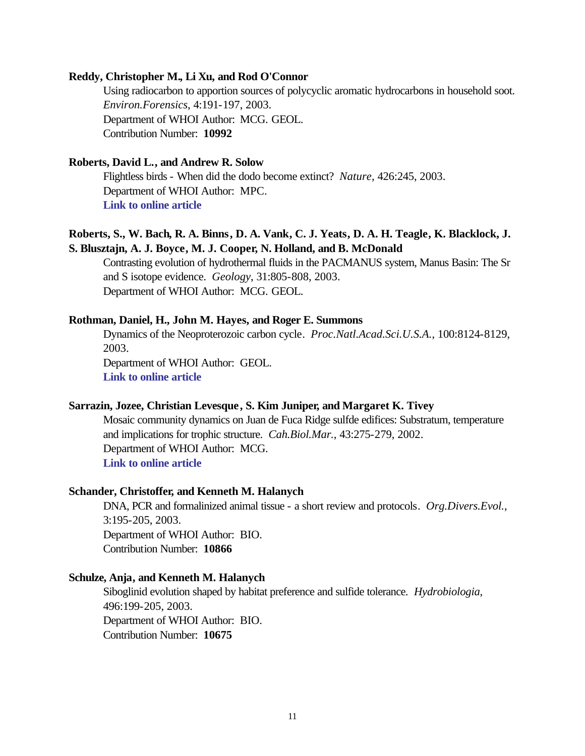### **Reddy, Christopher M., Li Xu, and Rod O'Connor**

Using radiocarbon to apportion sources of polycyclic aromatic hydrocarbons in household soot. *Environ.Forensics*, 4:191-197, 2003. Department of WHOI Author: MCG. GEOL. Contribution Number: **10992**

### **Roberts, David L., and Andrew R. Solow**

Flightless birds - When did the dodo become extinct? *Nature*, 426:245, 2003. Department of WHOI Author: MPC. **[Link to online article](http://www.nature.com/cgi-taf/DynaPage.taf?file=/nature/journal/v426/n6964/full/426245a_fs.html&content_filetype=pdf)**

# **Roberts, S., W. Bach, R. A. Binns, D. A. Vank, C. J. Yeats, D. A. H. Teagle, K. Blacklock, J. S. Blusztajn, A. J. Boyce, M. J. Cooper, N. Holland, and B. McDonald**

Contrasting evolution of hydrothermal fluids in the PACMANUS system, Manus Basin: The Sr and S isotope evidence. *Geology*, 31:805-808, 2003. Department of WHOI Author: MCG. GEOL.

### **Rothman, Daniel, H., John M. Hayes, and Roger E. Summons**

Dynamics of the Neoproterozoic carbon cycle. *Proc.Natl.Acad.Sci.U.S.A.*, 100:8124-8129, 2003. Department of WHOI Author: GEOL.

**[Link to online article](http://www.pnas.org/cgi/reprint/100/14/8124.pdf)**

### **Sarrazin, Jozee, Christian Levesque, S. Kim Juniper, and Margaret K. Tivey**

Mosaic community dynamics on Juan de Fuca Ridge sulfde edifices: Substratum, temperature and implications for trophic structure. *Cah.Biol.Mar.*, 43:275-279, 2002. Department of WHOI Author: MCG. **[Link to online article](http://cbm-online.sb-roscoff.fr/pdf/cb43-3-275-279.pdf)**

#### **Schander, Christoffer, and Kenneth M. Halanych**

DNA, PCR and formalinized animal tissue - a short review and protocols. *Org.Divers.Evol.*, 3:195-205, 2003. Department of WHOI Author: BIO. Contribution Number: **10866**

### **Schulze, Anja, and Kenneth M. Halanych**

Siboglinid evolution shaped by habitat preference and sulfide tolerance. *Hydrobiologia*, 496:199-205, 2003. Department of WHOI Author: BIO. Contribution Number: **10675**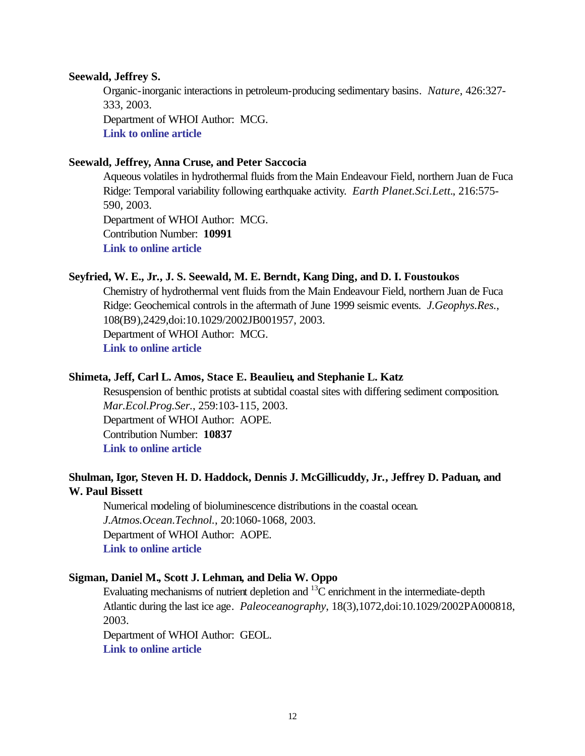#### **Seewald, Jeffrey S.**

Organic-inorganic interactions in petroleum-producing sedimentary basins. *Nature*, 426:327- 333, 2003.

Department of WHOI Author: MCG. **[Link to online article](http://www.nature.com/cgi-taf/DynaPage.taf?file=/nature/journal/v426/n6964/full/nature02132_fs.html&content_filetype=pdf)**

### **Seewald, Jeffrey, Anna Cruse, and Peter Saccocia**

Aqueous volatiles in hydrothermal fluids from the Main Endeavour Field, northern Juan de Fuca Ridge: Temporal variability following earthquake activity. *Earth Planet.Sci.Lett.*, 216:575- 590, 2003. Department of WHOI Author: MCG. Contribution Number: **10991 [Link to online article](http://www.sciencedirect.com/science?_ob=MImg&_imagekey=B6V61-4B28WKR-1-M&_cdi=5801&_orig=browse&_coverDate=12%2F10%2F2003&_sk=997839995&view=c&wchp=dGLbVlb-zSkWz&_acct=C000011858&_version=1&_userid=142773&md5=3191205ad26a30ac63b728ae25e78ce8&ie=f.pdf)**

#### **Seyfried, W. E., Jr., J. S. Seewald, M. E. Berndt, Kang Ding, and D. I. Foustoukos**

Chemistry of hydrothermal vent fluids from the Main Endeavour Field, northern Juan de Fuca Ridge: Geochemical controls in the aftermath of June 1999 seismic events. *J.Geophys.Res.*, 108(B9),2429,doi:10.1029/2002JB001957, 2003. Department of WHOI Author: MCG. **[Link to online article](http://www.agu.org/journals/jb/jb0309/2002JB001957/2002JB001957.pdf)**

### **Shimeta, Jeff, Carl L. Amos, Stace E. Beaulieu, and Stephanie L. Katz**

Resuspension of benthic protists at subtidal coastal sites with differing sediment composition. *Mar.Ecol.Prog.Ser.*, 259:103-115, 2003. Department of WHOI Author: AOPE. Contribution Number: **10837 [Link to online article](http://www.int-res.com/articles/meps2003/259/m259p103.pdf)**

### **Shulman, Igor, Steven H. D. Haddock, Dennis J. McGillicuddy, Jr., Jeffrey D. Paduan, and W. Paul Bissett**

Numerical modeling of bioluminescence distributions in the coastal ocean. *J.Atmos.Ocean.Technol.*, 20:1060-1068, 2003. Department of WHOI Author: AOPE. **[Link to online article](http://ams.allenpress.com/pdfserv/i1520-0426-020-07-1060.pdf)**

### **Sigman, Daniel M., Scott J. Lehman, and Delia W. Oppo**

Evaluating mechanisms of nutrient depletion and  $^{13}$ C enrichment in the intermediate-depth Atlantic during the last ice age. *Paleoceanography*, 18(3),1072,doi:10.1029/2002PA000818, 2003.

Department of WHOI Author: GEOL. **[Link to online article](http://www.agu.org/journals/pa/pa0303/2002PA000818/2002PA000818.pdf)**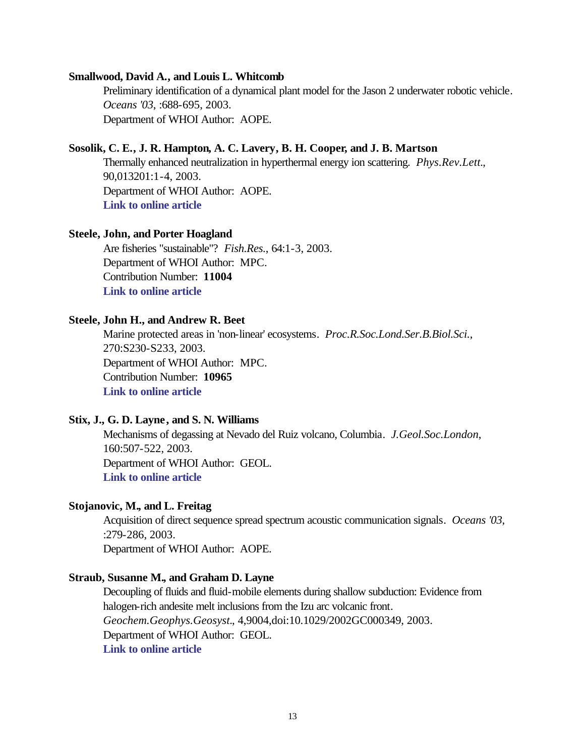### **Smallwood, David A., and Louis L. Whitcomb**

Preliminary identification of a dynamical plant model for the Jason 2 underwater robotic vehicle. *Oceans '03*, :688-695, 2003. Department of WHOI Author: AOPE.

### **Sosolik, C. E., J. R. Hampton, A. C. Lavery, B. H. Cooper, and J. B. Martson**

Thermally enhanced neutralization in hyperthermal energy ion scattering. *Phys.Rev.Lett.*, 90,013201:1-4, 2003. Department of WHOI Author: AOPE. **[Link to online article](http://ojps.aip.org/getpdf/servlet/GetPDFServlet?filetype=pdf&id=PRLTAO000090000001013201000001&idtype=cvips)**

#### **Steele, John, and Porter Hoagland**

Are fisheries "sustainable"? *Fish.Res.*, 64:1-3, 2003. Department of WHOI Author: MPC. Contribution Number: **11004 [Link to online article](http://www.sciencedirect.com/science?_ob=MImg&_imagekey=B6T6N-49M0PVR-1-1&_cdi=5035&_orig=browse&_coverDate=10%2F31%2F2003&_sk=999359998&view=c&wchp=dGLbVtz-zSkzV&_acct=C000011858&_version=1&_userid=142773&md5=22b49bb609bec05d3ef05bb1a9801226&ie=f.pdf)**

### **Steele, John H., and Andrew R. Beet**

Marine protected areas in 'non-linear' ecosystems. *Proc.R.Soc.Lond.Ser.B.Biol.Sci.*, 270:S230-S233, 2003. Department of WHOI Author: MPC. Contribution Number: **10965 [Link to online article](http://ceres.ingentaselect.com/vl=2824147/cl=36/nw=1/fm=docpdf/rpsv/cw/rsl/09628452/v270n1530x2/s32/p230)**

#### **Stix, J., G. D. Layne, and S. N. Williams**

Mechanisms of degassing at Nevado del Ruiz volcano, Columbia. *J.Geol.Soc.London*, 160:507-522, 2003. Department of WHOI Author: GEOL. **[Link to online article](http://fidelio.ingentaselect.com/vl=6865210/cl=115/nw=1/rpsv/ij/geol/00167649/v160n4/s3/p507)**

### **Stojanovic, M., and L. Freitag**

Acquisition of direct sequence spread spectrum acoustic communication signals. *Oceans '03*, :279-286, 2003. Department of WHOI Author: AOPE.

#### **Straub, Susanne M., and Graham D. Layne**

Decoupling of fluids and fluid-mobile elements during shallow subduction: Evidence from halogen-rich andesite melt inclusions from the Izu arc volcanic front. *Geochem.Geophys.Geosyst.*, 4,9004,doi:10.1029/2002GC000349, 2003. Department of WHOI Author: GEOL. **[Link to online article](http://www.agu.org/journals/gc/gc0307/2002GC000349/2002GC000349.pdf)**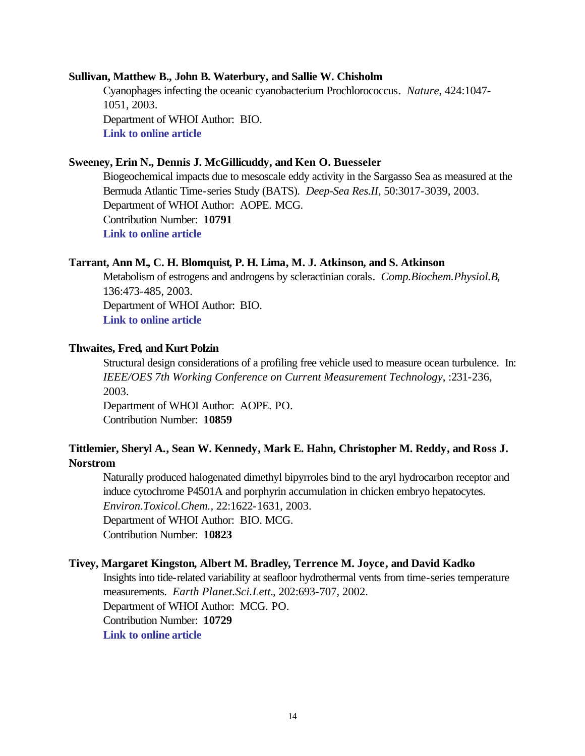#### **Sullivan, Matthew B., John B. Waterbury, and Sallie W. Chisholm**

Cyanophages infecting the oceanic cyanobacterium Prochlorococcus. *Nature*, 424:1047- 1051, 2003. Department of WHOI Author: BIO. **[Link to online article](http://www.nature.com/cgi-taf/DynaPage.taf?file=/nature/journal/v424/n6952/full/nature01929_fs.html&content_filetype=pdf)**

### **Sweeney, Erin N., Dennis J. McGillicuddy, and Ken O. Buesseler**

Biogeochemical impacts due to mesoscale eddy activity in the Sargasso Sea as measured at the Bermuda Atlantic Time-series Study (BATS). *Deep-Sea Res.II*, 50:3017-3039, 2003. Department of WHOI Author: AOPE. MCG. Contribution Number: **10791 [Link to online article](http://www.sciencedirect.com/science?_ob=MImg&_imagekey=B6VGC-49Y3VW2-1-17&_cdi=6035&_orig=search&_coverDate=12%2F31%2F2003&_sk=999499977&view=c&wchp=dGLbVlz-zSkzk&_acct=C000011858&_version=1&_userid=142773&md5=f4da27e142c19a1b33f5f335ebd7f2ef&ie=f.pdf)**

### **Tarrant, Ann M., C. H. Blomquist, P. H. Lima, M. J. Atkinson, and S. Atkinson**

Metabolism of estrogens and androgens by scleractinian corals. *Comp.Biochem.Physiol.B*, 136:473-485, 2003. Department of WHOI Author: BIO. **[Link to online article](http://www.sciencedirect.com/science?_ob=MImg&_imagekey=B6T2R-49KSKF9-4-H&_cdi=4925&_orig=browse&_coverDate=11%2F30%2F2003&_sk=998639996&view=c&wchp=dGLbVtb-zSkzk&_acct=C000011858&_version=1&_userid=142773&md5=887137f244a6ddebb177f3419b604db2&ie=f.pdf)**

### **Thwaites, Fred, and Kurt Polzin**

Structural design considerations of a profiling free vehicle used to measure ocean turbulence. In: *IEEE/OES 7th Working Conference on Current Measurement Technology*, :231-236, 2003.

Department of WHOI Author: AOPE. PO. Contribution Number: **10859**

# **Tittlemier, Sheryl A., Sean W. Kennedy, Mark E. Hahn, Christopher M. Reddy, and Ross J. Norstrom**

Naturally produced halogenated dimethyl bipyrroles bind to the aryl hydrocarbon receptor and induce cytochrome P4501A and porphyrin accumulation in chicken embryo hepatocytes. *Environ.Toxicol.Chem.*, 22:1622-1631, 2003. Department of WHOI Author: BIO. MCG. Contribution Number: **10823**

### **Tivey, Margaret Kingston, Albert M. Bradley, Terrence M. Joyce, and David Kadko**

Insights into tide-related variability at seafloor hydrothermal vents from time-series temperature measurements. *Earth Planet.Sci.Lett.*, 202:693-707, 2002. Department of WHOI Author: MCG. PO. Contribution Number: **10729 [Link to online article](http://www.sciencedirect.com/science?_ob=MImg&_imagekey=B6V61-46P1PX6-1-K&_cdi=5801&_orig=browse&_coverDate=09%2F30%2F2002&_sk=997979996&view=c&wchp=dGLbVlb-zSkzk&_acct=C000011858&_version=1&_userid=142773&md5=74f0f19a6f8d64d9bbeba1d39b784db7&ie=f.pdf)**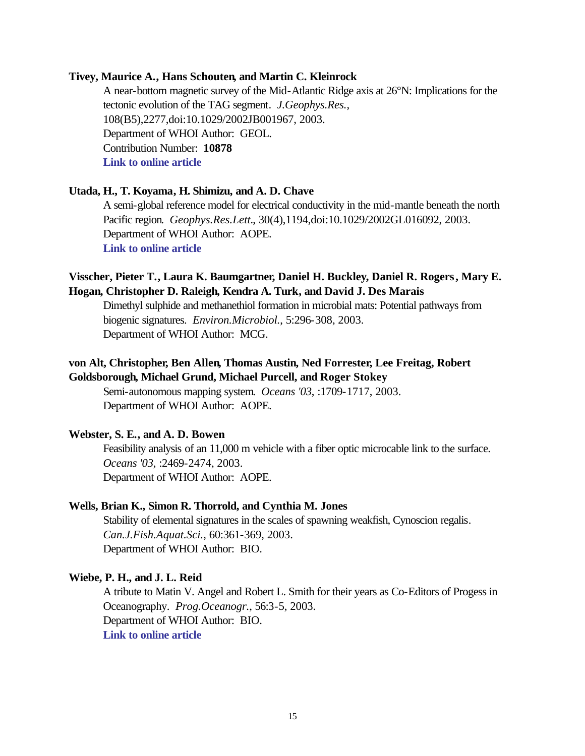### **Tivey, Maurice A., Hans Schouten, and Martin C. Kleinrock**

A near-bottom magnetic survey of the Mid-Atlantic Ridge axis at 26°N: Implications for the tectonic evolution of the TAG segment. *J.Geophys.Res.*, 108(B5),2277,doi:10.1029/2002JB001967, 2003. Department of WHOI Author: GEOL. Contribution Number: **10878 [Link to online article](http://www.agu.org/journals/jb/jb0305/2002JB001967/2002JB001967.pdf)**

### **Utada, H., T. Koyama, H. Shimizu, and A. D. Chave**

A semi-global reference model for electrical conductivity in the mid-mantle beneath the north Pacific region. *Geophys.Res.Lett.*, 30(4),1194,doi:10.1029/2002GL016092, 2003. Department of WHOI Author: AOPE. **[Link to online article](http://www.agu.org/journals/gl/gl0304/2002GL016092/2002GL016092.pdf)**

### **Visscher, Pieter T., Laura K. Baumgartner, Daniel H. Buckley, Daniel R. Rogers, Mary E. Hogan, Christopher D. Raleigh, Kendra A. Turk, and David J. Des Marais**

Dimethyl sulphide and methanethiol formation in microbial mats: Potential pathways from biogenic signatures. *Environ.Microbiol.*, 5:296-308, 2003. Department of WHOI Author: MCG.

# **von Alt, Christopher, Ben Allen, Thomas Austin, Ned Forrester, Lee Freitag, Robert Goldsborough, Michael Grund, Michael Purcell, and Roger Stokey**

Semi-autonomous mapping system. *Oceans '03*, :1709-1717, 2003. Department of WHOI Author: AOPE.

### **Webster, S. E., and A. D. Bowen**

Feasibility analysis of an 11,000 m vehicle with a fiber optic microcable link to the surface. *Oceans '03*, :2469-2474, 2003. Department of WHOI Author: AOPE.

### **Wells, Brian K., Simon R. Thorrold, and Cynthia M. Jones**

Stability of elemental signatures in the scales of spawning weakfish, Cynoscion regalis. *Can.J.Fish.Aquat.Sci.*, 60:361-369, 2003. Department of WHOI Author: BIO.

#### **Wiebe, P. H., and J. L. Reid**

A tribute to Matin V. Angel and Robert L. Smith for their years as Co-Editors of Progess in Oceanography. *Prog.Oceanogr.*, 56:3-5, 2003. Department of WHOI Author: BIO. **[Link to online article](http://www.sciencedirect.com/science?_ob=MImg&_imagekey=B6V7B-47W5K69-1-5&_cdi=5838&_orig=browse&_coverDate=01%2F31%2F2003&_sk=999439998&view=c&wchp=dGLbVzz-zSkWb&_acct=C000011858&_version=1&_userid=142773&md5=300fe16169a91d1f687fd3cf3b696cb2&ie=f.pdf)**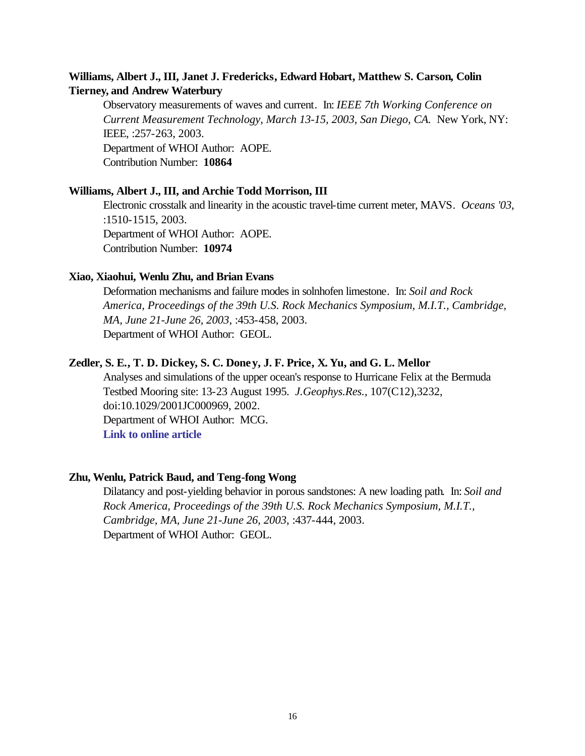# **Williams, Albert J., III, Janet J. Fredericks, Edward Hobart, Matthew S. Carson, Colin Tierney, and Andrew Waterbury**

Observatory measurements of waves and current. In: *IEEE 7th Working Conference on Current Measurement Technology, March 13-15, 2003, San Diego, CA. New York, NY:* IEEE, :257-263, 2003. Department of WHOI Author: AOPE. Contribution Number: **10864**

### **Williams, Albert J., III, and Archie Todd Morrison, III**

Electronic crosstalk and linearity in the acoustic travel-time current meter, MAVS. *Oceans '03*, :1510-1515, 2003. Department of WHOI Author: AOPE. Contribution Number: **10974**

#### **Xiao, Xiaohui, Wenlu Zhu, and Brian Evans**

Deformation mechanisms and failure modes in solnhofen limestone. In: *Soil and Rock America, Proceedings of the 39th U.S. Rock Mechanics Symposium, M.I.T., Cambridge, MA, June 21-June 26, 2003*, :453-458, 2003. Department of WHOI Author: GEOL.

### **Zedler, S. E., T. D. Dickey, S. C. Doney, J. F. Price, X. Yu, and G. L. Mellor**

Analyses and simulations of the upper ocean's response to Hurricane Felix at the Bermuda Testbed Mooring site: 13-23 August 1995. *J.Geophys.Res.*, 107(C12),3232, doi:10.1029/2001JC000969, 2002. Department of WHOI Author: MCG. **[Link to online article](http://www.agu.org/journals/jc/jc0212/2001JC000969/2001JC000969.pdf)**

### **Zhu, Wenlu, Patrick Baud, and Teng-fong Wong**

Dilatancy and post-yielding behavior in porous sandstones: A new loading path. In: *Soil and Rock America, Proceedings of the 39th U.S. Rock Mechanics Symposium, M.I.T., Cambridge, MA, June 21-June 26, 2003*, :437-444, 2003. Department of WHOI Author: GEOL.